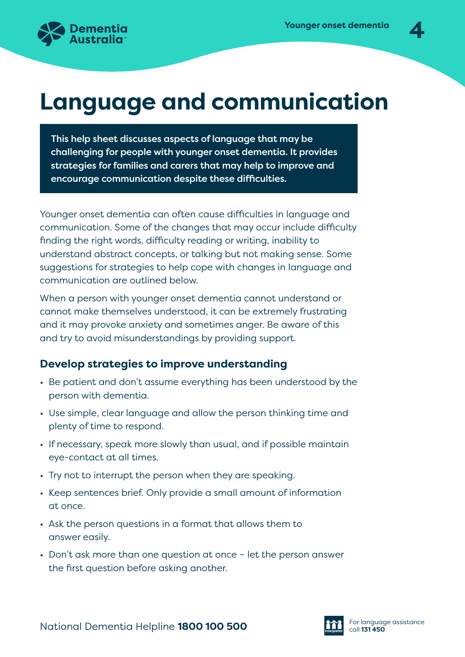

# **Language and communication**

This help sheet discusses aspects of language that may be challenging for people with younger onset dementia. It provides strategies for families and carers that may help to improve and encourage communication despite these difficulties.

Younger onset dementia can often cause difficulties in language and communication. Some of the changes that may occur include difficulty finding the right words, difficulty reading or writing, inability to understand abstract concepts, or talking but not making sense. Some suggestions for strategies to help cope with changes in language and communication are outlined below.

When a person with younger onset dementia cannot understand or cannot make themselves understood, it can be extremely frustrating and it may provoke anxiety and sometimes anger. Be aware of this and try to avoid misunderstandings by providing support.

### **Develop strategies to improve understanding**

- Be patient and don't assume everything has been understood by the person with dementia.
- Use simple, clear language and allow the person thinking time and plenty of time to respond.
- If necessary, speak more slowly than usual, and if possible maintain eye-contact at all times.
- Try not to interrupt the person when they are speaking.
- Keep sentences brief. Only provide a small amount of information at once.
- Ask the person questions in a format that allows them to answer easily.
- Don't ask more than one question at once let the person answer the first question before asking another.

National Dementia Helpline **1800 100 500 Call 131 450** For language assistance

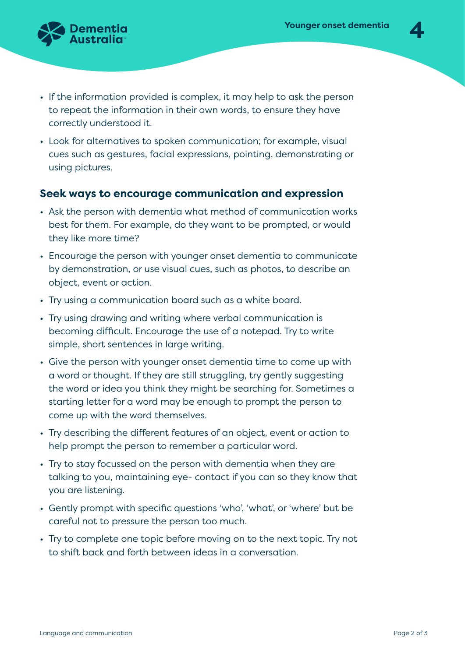

- If the information provided is complex, it may help to ask the person to repeat the information in their own words, to ensure they have correctly understood it.
- Look for alternatives to spoken communication; for example, visual cues such as gestures, facial expressions, pointing, demonstrating or using pictures.

### **Seek ways to encourage communication and expression**

- Ask the person with dementia what method of communication works best for them. For example, do they want to be prompted, or would they like more time?
- Encourage the person with younger onset dementia to communicate by demonstration, or use visual cues, such as photos, to describe an object, event or action.
- Try using a communication board such as a white board.
- Try using drawing and writing where verbal communication is becoming difficult. Encourage the use of a notepad. Try to write simple, short sentences in large writing.
- Give the person with younger onset dementia time to come up with a word or thought. If they are still struggling, try gently suggesting the word or idea you think they might be searching for. Sometimes a starting letter for a word may be enough to prompt the person to come up with the word themselves.
- Try describing the different features of an object, event or action to help prompt the person to remember a particular word.
- Try to stay focussed on the person with dementia when they are talking to you, maintaining eye- contact if you can so they know that you are listening.
- Gently prompt with specific questions 'who', 'what', or 'where' but be careful not to pressure the person too much.
- Try to complete one topic before moving on to the next topic. Try not to shift back and forth between ideas in a conversation.